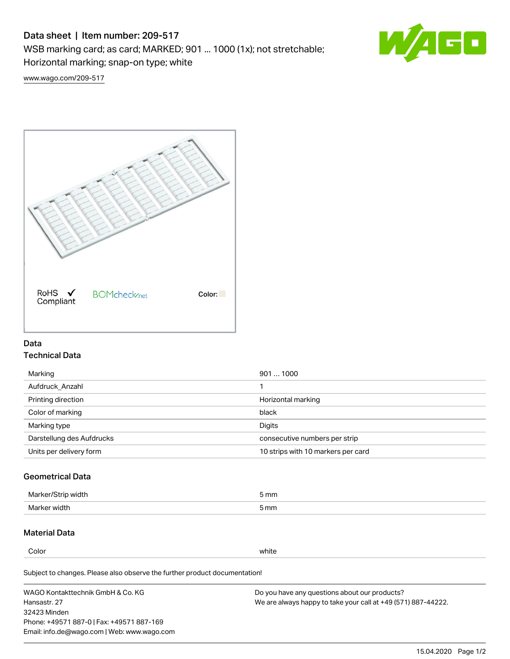# Data sheet | Item number: 209-517

WSB marking card; as card; MARKED; 901 ... 1000 (1x); not stretchable;

Horizontal marking; snap-on type; white

 $\sqrt{4}$ 

[www.wago.com/209-517](http://www.wago.com/209-517)



### Data Technical Data

| 9011000                            |
|------------------------------------|
|                                    |
| Horizontal marking                 |
| black                              |
| Digits                             |
| consecutive numbers per strip      |
| 10 strips with 10 markers per card |
|                                    |

## Geometrical Data

| Marker/Strip width | 5 mm |
|--------------------|------|
| Marker width       | 5 mm |

## Material Data

Color white

Subject to changes. Please also observe the further product documentation!

WAGO Kontakttechnik GmbH & Co. KG Hansastr. 27 32423 Minden Phone: +49571 887-0 | Fax: +49571 887-169 Email: info.de@wago.com | Web: www.wago.com Do you have any questions about our products? We are always happy to take your call at +49 (571) 887-44222.